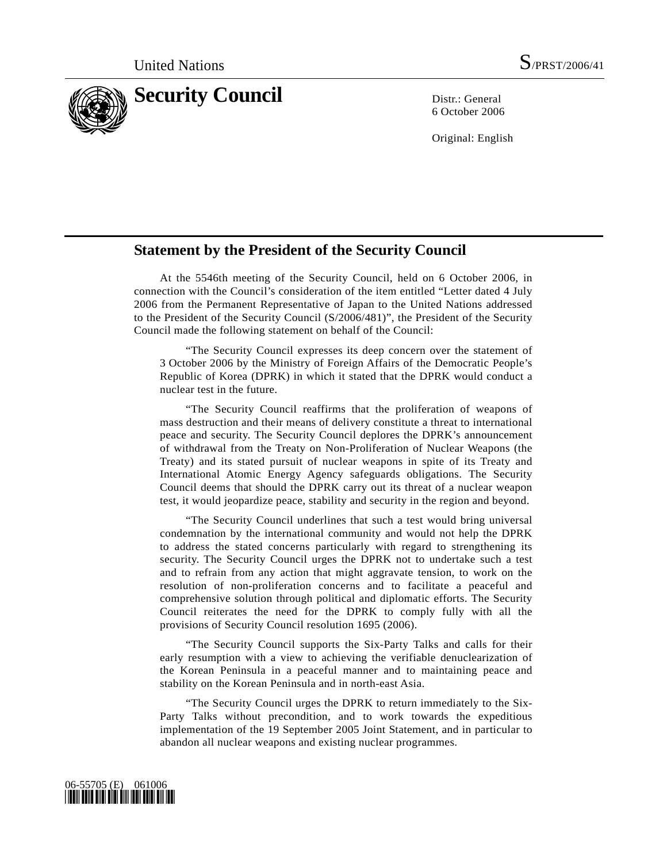

6 October 2006

Original: English

## **Statement by the President of the Security Council**

 At the 5546th meeting of the Security Council, held on 6 October 2006, in connection with the Council's consideration of the item entitled "Letter dated 4 July 2006 from the Permanent Representative of Japan to the United Nations addressed to the President of the Security Council (S/2006/481)", the President of the Security Council made the following statement on behalf of the Council:

 "The Security Council expresses its deep concern over the statement of 3 October 2006 by the Ministry of Foreign Affairs of the Democratic People's Republic of Korea (DPRK) in which it stated that the DPRK would conduct a nuclear test in the future.

 "The Security Council reaffirms that the proliferation of weapons of mass destruction and their means of delivery constitute a threat to international peace and security. The Security Council deplores the DPRK's announcement of withdrawal from the Treaty on Non-Proliferation of Nuclear Weapons (the Treaty) and its stated pursuit of nuclear weapons in spite of its Treaty and International Atomic Energy Agency safeguards obligations. The Security Council deems that should the DPRK carry out its threat of a nuclear weapon test, it would jeopardize peace, stability and security in the region and beyond.

 "The Security Council underlines that such a test would bring universal condemnation by the international community and would not help the DPRK to address the stated concerns particularly with regard to strengthening its security. The Security Council urges the DPRK not to undertake such a test and to refrain from any action that might aggravate tension, to work on the resolution of non-proliferation concerns and to facilitate a peaceful and comprehensive solution through political and diplomatic efforts. The Security Council reiterates the need for the DPRK to comply fully with all the provisions of Security Council resolution 1695 (2006).

 "The Security Council supports the Six-Party Talks and calls for their early resumption with a view to achieving the verifiable denuclearization of the Korean Peninsula in a peaceful manner and to maintaining peace and stability on the Korean Peninsula and in north-east Asia.

 "The Security Council urges the DPRK to return immediately to the Six-Party Talks without precondition, and to work towards the expeditious implementation of the 19 September 2005 Joint Statement, and in particular to abandon all nuclear weapons and existing nuclear programmes.